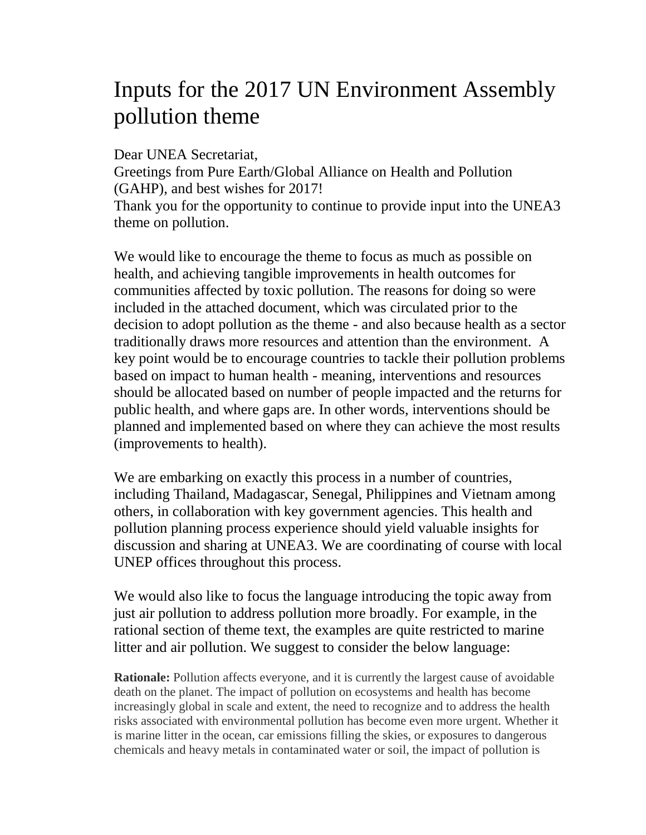## Inputs for the 2017 UN Environment Assembly pollution theme

Dear UNEA Secretariat,

Greetings from Pure Earth/Global Alliance on Health and Pollution (GAHP), and best wishes for 2017!

Thank you for the opportunity to continue to provide input into the UNEA3 theme on pollution.

We would like to encourage the theme to focus as much as possible on health, and achieving tangible improvements in health outcomes for communities affected by toxic pollution. The reasons for doing so were included in the attached document, which was circulated prior to the decision to adopt pollution as the theme - and also because health as a sector traditionally draws more resources and attention than the environment. A key point would be to encourage countries to tackle their pollution problems based on impact to human health - meaning, interventions and resources should be allocated based on number of people impacted and the returns for public health, and where gaps are. In other words, interventions should be planned and implemented based on where they can achieve the most results (improvements to health).

We are embarking on exactly this process in a number of countries, including Thailand, Madagascar, Senegal, Philippines and Vietnam among others, in collaboration with key government agencies. This health and pollution planning process experience should yield valuable insights for discussion and sharing at UNEA3. We are coordinating of course with local UNEP offices throughout this process.

We would also like to focus the language introducing the topic away from just air pollution to address pollution more broadly. For example, in the rational section of theme text, the examples are quite restricted to marine litter and air pollution. We suggest to consider the below language:

**Rationale:** Pollution affects everyone, and it is currently the largest cause of avoidable death on the planet. The impact of pollution on ecosystems and health has become increasingly global in scale and extent, the need to recognize and to address the health risks associated with environmental pollution has become even more urgent. Whether it is marine litter in the ocean, car emissions filling the skies, or exposures to dangerous chemicals and heavy metals in contaminated water or soil, the impact of pollution is